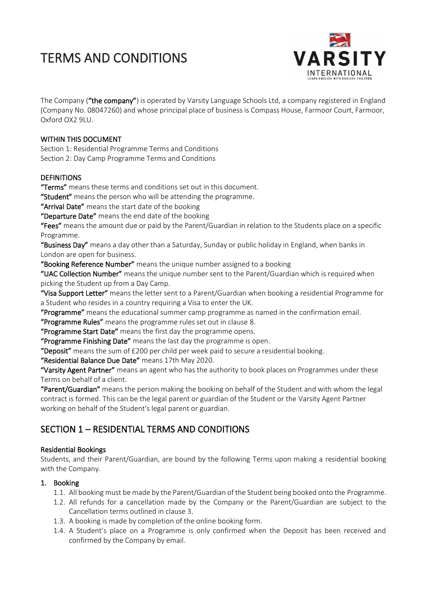

The Company ("the company") is operated by Varsity Language Schools Ltd, a company registered in England (Company No. 08047260) and whose principal place of business is Compass House, Farmoor Court, Farmoor, Oxford OX2 9LU.

### WITHIN THIS DOCUMENT

Section 1: Residential Programme Terms and Conditions Section 2: Day Camp Programme Terms and Conditions

### DEFINITIONS

"Terms" means these terms and conditions set out in this document.

"Student" means the person who will be attending the programme.

"Arrival Date" means the start date of the booking

"Departure Date" means the end date of the booking

"Fees" means the amount due or paid by the Parent/Guardian in relation to the Students place on a specific Programme.

"Business Day" means a day other than a Saturday, Sunday or public holiday in England, when banks in London are open for business.

"Booking Reference Number" means the unique number assigned to a booking

"UAC Collection Number" means the unique number sent to the Parent/Guardian which is required when picking the Student up from a Day Camp.

"Visa Support Letter" means the letter sent to a Parent/Guardian when booking a residential Programme for a Student who resides in a country requiring a Visa to enter the UK.

"Programme" means the educational summer camp programme as named in the confirmation email.

"Programme Rules" means the programme rules set out in clause 8.

"Programme Start Date" means the first day the programme opens.

"Programme Finishing Date" means the last day the programme is open.

"Deposit" means the sum of  $£200$  per child per week paid to secure a residential booking.

"Residential Balance Due Date" means 17th May 2020.

"Varsity Agent Partner" means an agent who has the authority to book places on Programmes under these Terms on behalf of a client.

"Parent/Guardian" means the person making the booking on behalf of the Student and with whom the legal contract is formed. This can be the legal parent or guardian of the Student or the Varsity Agent Partner working on behalf of the Student's legal parent or guardian.

## SECTION 1 – RESIDENTIAL TERMS AND CONDITIONS

#### Residential Bookings

Students, and their Parent/Guardian, are bound by the following Terms upon making a residential booking with the Company.

## 1. Booking

- 1.1. All booking must be made by the Parent/Guardian of the Student being booked onto the Programme.
- 1.2. All refunds for a cancellation made by the Company or the Parent/Guardian are subject to the Cancellation terms outlined in clause 3.
- 1.3. A booking is made by completion of the online booking form.
- 1.4. A Student's place on a Programme is only confirmed when the Deposit has been received and confirmed by the Company by email.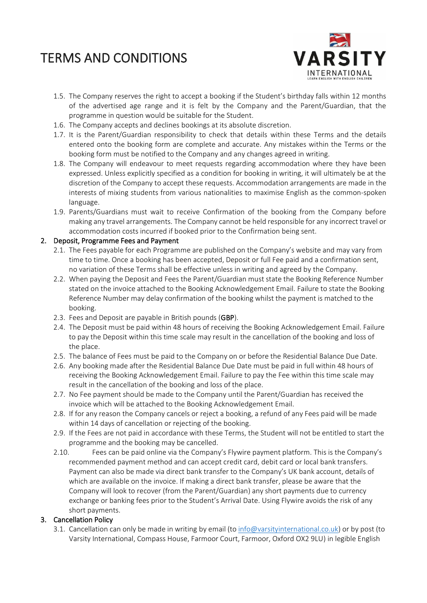

- 1.5. The Company reserves the right to accept a booking if the Student's birthday falls within 12 months of the advertised age range and it is felt by the Company and the Parent/Guardian, that the programme in question would be suitable for the Student.
- 1.6. The Company accepts and declines bookings at its absolute discretion.
- 1.7. It is the Parent/Guardian responsibility to check that details within these Terms and the details entered onto the booking form are complete and accurate. Any mistakes within the Terms or the booking form must be notified to the Company and any changes agreed in writing.
- 1.8. The Company will endeavour to meet requests regarding accommodation where they have been expressed. Unless explicitly specified as a condition for booking in writing, it will ultimately be at the discretion of the Company to accept these requests. Accommodation arrangements are made in the interests of mixing students from various nationalities to maximise English as the common-spoken language.
- 1.9. Parents/Guardians must wait to receive Confirmation of the booking from the Company before making any travel arrangements. The Company cannot be held responsible for any incorrect travel or accommodation costs incurred if booked prior to the Confirmation being sent.

### 2. Deposit, Programme Fees and Payment

- 2.1. The Fees payable for each Programme are published on the Company's website and may vary from time to time. Once a booking has been accepted, Deposit or full Fee paid and a confirmation sent, no variation of these Terms shall be effective unless in writing and agreed by the Company.
- 2.2. When paying the Deposit and Fees the Parent/Guardian must state the Booking Reference Number stated on the invoice attached to the Booking Acknowledgement Email. Failure to state the Booking Reference Number may delay confirmation of the booking whilst the payment is matched to the booking.
- 2.3. Fees and Deposit are payable in British pounds (GBP).
- 2.4. The Deposit must be paid within 48 hours of receiving the Booking Acknowledgement Email. Failure to pay the Deposit within this time scale may result in the cancellation of the booking and loss of the place.
- 2.5. The balance of Fees must be paid to the Company on or before the Residential Balance Due Date.
- 2.6. Any booking made after the Residential Balance Due Date must be paid in full within 48 hours of receiving the Booking Acknowledgement Email. Failure to pay the Fee within this time scale may result in the cancellation of the booking and loss of the place.
- 2.7. No Fee payment should be made to the Company until the Parent/Guardian has received the invoice which will be attached to the Booking Acknowledgement Email.
- 2.8. If for any reason the Company cancels or reject a booking, a refund of any Fees paid will be made within 14 days of cancellation or rejecting of the booking.
- 2.9. If the Fees are not paid in accordance with these Terms, the Student will not be entitled to start the programme and the booking may be cancelled.
- 2.10. Fees can be paid online via the Company's Flywire payment platform. This is the Company's recommended payment method and can accept credit card, debit card or local bank transfers. Payment can also be made via direct bank transfer to the Company's UK bank account, details of which are available on the invoice. If making a direct bank transfer, please be aware that the Company will look to recover (from the Parent/Guardian) any short payments due to currency exchange or banking fees prior to the Student's Arrival Date. Using Flywire avoids the risk of any short payments.

#### 3. Cancellation Policy

3.1. Cancellation can only be made in writing by email (to [info@varsityinternational.co.uk\)](mailto:info@varsityinternational.co.uk) or by post (to Varsity International, Compass House, Farmoor Court, Farmoor, Oxford OX2 9LU) in legible English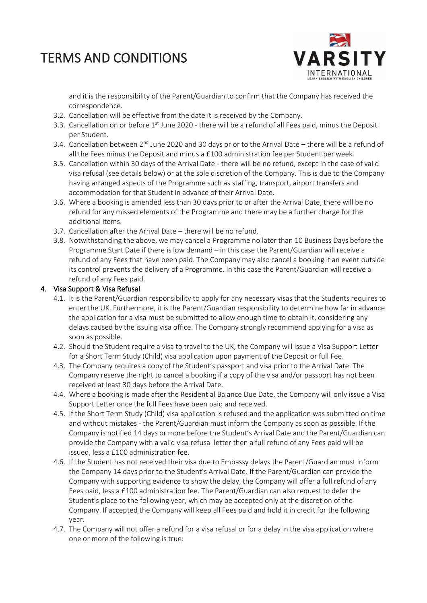

and it is the responsibility of the Parent/Guardian to confirm that the Company has received the correspondence.

- 3.2. Cancellation will be effective from the date it is received by the Company.
- 3.3. Cancellation on or before 1<sup>st</sup> June 2020 there will be a refund of all Fees paid, minus the Deposit per Student.
- 3.4. Cancellation between  $2^{nd}$  June 2020 and 30 days prior to the Arrival Date there will be a refund of all the Fees minus the Deposit and minus a £100 administration fee per Student per week.
- 3.5. Cancellation within 30 days of the Arrival Date there will be no refund, except in the case of valid visa refusal (see details below) or at the sole discretion of the Company. This is due to the Company having arranged aspects of the Programme such as staffing, transport, airport transfers and accommodation for that Student in advance of their Arrival Date.
- 3.6. Where a booking is amended less than 30 days prior to or after the Arrival Date, there will be no refund for any missed elements of the Programme and there may be a further charge for the additional items.
- 3.7. Cancellation after the Arrival Date there will be no refund.
- 3.8. Notwithstanding the above, we may cancel a Programme no later than 10 Business Days before the Programme Start Date if there is low demand – in this case the Parent/Guardian will receive a refund of any Fees that have been paid. The Company may also cancel a booking if an event outside its control prevents the delivery of a Programme. In this case the Parent/Guardian will receive a refund of any Fees paid.

### 4. Visa Support & Visa Refusal

- 4.1. It is the Parent/Guardian responsibility to apply for any necessary visas that the Students requires to enter the UK. Furthermore, it is the Parent/Guardian responsibility to determine how far in advance the application for a visa must be submitted to allow enough time to obtain it, considering any delays caused by the issuing visa office. The Company strongly recommend applying for a visa as soon as possible.
- 4.2. Should the Student require a visa to travel to the UK, the Company will issue a Visa Support Letter for a Short Term Study (Child) visa application upon payment of the Deposit or full Fee.
- 4.3. The Company requires a copy of the Student's passport and visa prior to the Arrival Date. The Company reserve the right to cancel a booking if a copy of the visa and/or passport has not been received at least 30 days before the Arrival Date.
- 4.4. Where a booking is made after the Residential Balance Due Date, the Company will only issue a Visa Support Letter once the full Fees have been paid and received.
- 4.5. If the Short Term Study (Child) visa application is refused and the application was submitted on time and without mistakes - the Parent/Guardian must inform the Company as soon as possible. If the Company is notified 14 days or more before the Student's Arrival Date and the Parent/Guardian can provide the Company with a valid visa refusal letter then a full refund of any Fees paid will be issued, less a £100 administration fee.
- 4.6. If the Student has not received their visa due to Embassy delays the Parent/Guardian must inform the Company 14 days prior to the Student's Arrival Date. If the Parent/Guardian can provide the Company with supporting evidence to show the delay, the Company will offer a full refund of any Fees paid, less a £100 administration fee. The Parent/Guardian can also request to defer the Student's place to the following year, which may be accepted only at the discretion of the Company. If accepted the Company will keep all Fees paid and hold it in credit for the following year.
- 4.7. The Company will not offer a refund for a visa refusal or for a delay in the visa application where one or more of the following is true: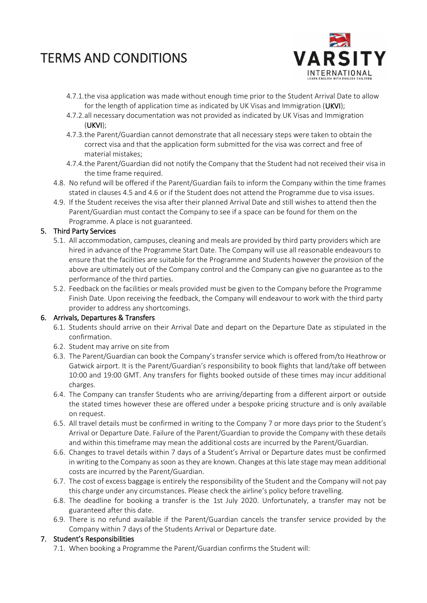

- 4.7.1.the visa application was made without enough time prior to the Student Arrival Date to allow for the length of application time as indicated by UK Visas and Immigration (UKVI);
- 4.7.2.all necessary documentation was not provided as indicated by UK Visas and Immigration (UKVI);
- 4.7.3.the Parent/Guardian cannot demonstrate that all necessary steps were taken to obtain the correct visa and that the application form submitted for the visa was correct and free of material mistakes;
- 4.7.4.the Parent/Guardian did not notify the Company that the Student had not received their visa in the time frame required.
- 4.8. No refund will be offered if the Parent/Guardian fails to inform the Company within the time frames stated in clauses 4.5 and 4.6 or if the Student does not attend the Programme due to visa issues.
- 4.9. If the Student receives the visa after their planned Arrival Date and still wishes to attend then the Parent/Guardian must contact the Company to see if a space can be found for them on the Programme. A place is not guaranteed.

### 5. Third Party Services

- 5.1. All accommodation, campuses, cleaning and meals are provided by third party providers which are hired in advance of the Programme Start Date. The Company will use all reasonable endeavours to ensure that the facilities are suitable for the Programme and Students however the provision of the above are ultimately out of the Company control and the Company can give no guarantee as to the performance of the third parties.
- 5.2. Feedback on the facilities or meals provided must be given to the Company before the Programme Finish Date. Upon receiving the feedback, the Company will endeavour to work with the third party provider to address any shortcomings.

#### 6. Arrivals, Departures & Transfers

- 6.1. Students should arrive on their Arrival Date and depart on the Departure Date as stipulated in the confirmation.
- 6.2. Student may arrive on site from
- 6.3. The Parent/Guardian can book the Company's transfer service which is offered from/to Heathrow or Gatwick airport. It is the Parent/Guardian's responsibility to book flights that land/take off between 10:00 and 19:00 GMT. Any transfers for flights booked outside of these times may incur additional charges.
- 6.4. The Company can transfer Students who are arriving/departing from a different airport or outside the stated times however these are offered under a bespoke pricing structure and is only available on request.
- 6.5. All travel details must be confirmed in writing to the Company 7 or more days prior to the Student's Arrival or Departure Date. Failure of the Parent/Guardian to provide the Company with these details and within this timeframe may mean the additional costs are incurred by the Parent/Guardian.
- 6.6. Changes to travel details within 7 days of a Student's Arrival or Departure dates must be confirmed in writing to the Company as soon as they are known. Changes at this late stage may mean additional costs are incurred by the Parent/Guardian.
- 6.7. The cost of excess baggage is entirely the responsibility of the Student and the Company will not pay this charge under any circumstances. Please check the airline's policy before travelling.
- 6.8. The deadline for booking a transfer is the 1st July 2020. Unfortunately, a transfer may not be guaranteed after this date.
- 6.9. There is no refund available if the Parent/Guardian cancels the transfer service provided by the Company within 7 days of the Students Arrival or Departure date.

#### 7. Student's Responsibilities

7.1. When booking a Programme the Parent/Guardian confirms the Student will: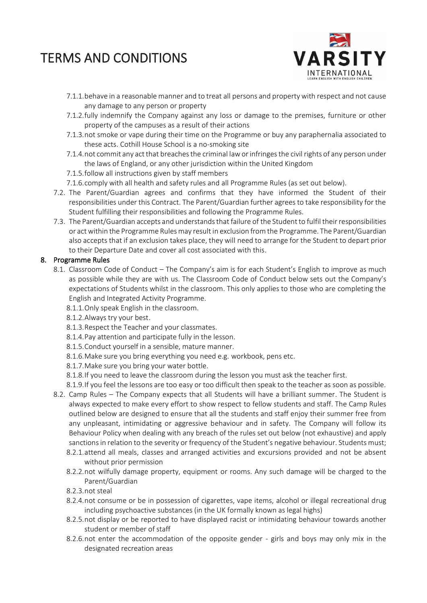

- 7.1.1.behave in a reasonable manner and to treat all persons and property with respect and not cause any damage to any person or property
- 7.1.2.fully indemnify the Company against any loss or damage to the premises, furniture or other property of the campuses as a result of their actions
- 7.1.3.not smoke or vape during their time on the Programme or buy any paraphernalia associated to these acts. Cothill House School is a no-smoking site
- 7.1.4.not commit any act that breaches the criminal law orinfringes the civil rights of any person under the laws of England, or any other jurisdiction within the United Kingdom
- 7.1.5.follow all instructions given by staff members
- 7.1.6.comply with all health and safety rules and all Programme Rules (as set out below).
- 7.2. The Parent/Guardian agrees and confirms that they have informed the Student of their responsibilities under this Contract. The Parent/Guardian further agrees to take responsibility for the Student fulfilling their responsibilities and following the Programme Rules.
- 7.3. The Parent/Guardian accepts and understands that failure of the Student to fulfil their responsibilities or act within the Programme Rules may result in exclusion from the Programme. The Parent/Guardian also accepts that if an exclusion takes place, they will need to arrange for the Student to depart prior to their Departure Date and cover all cost associated with this.

### 8. Programme Rules

- 8.1. Classroom Code of Conduct The Company's aim is for each Student's English to improve as much as possible while they are with us. The Classroom Code of Conduct below sets out the Company's expectations of Students whilst in the classroom. This only applies to those who are completing the English and Integrated Activity Programme.
	- 8.1.1.Only speak English in the classroom.
	- 8.1.2.Always try your best.
	- 8.1.3.Respect the Teacher and your classmates.
	- 8.1.4.Pay attention and participate fully in the lesson.
	- 8.1.5.Conduct yourself in a sensible, mature manner.
	- 8.1.6.Make sure you bring everything you need e.g. workbook, pens etc.
	- 8.1.7.Make sure you bring your water bottle.
	- 8.1.8.If you need to leave the classroom during the lesson you must ask the teacher first.
	- 8.1.9.If you feel the lessons are too easy or too difficult then speak to the teacher as soon as possible.
- 8.2. Camp Rules The Company expects that all Students will have a brilliant summer. The Student is always expected to make every effort to show respect to fellow students and staff. The Camp Rules outlined below are designed to ensure that all the students and staff enjoy their summer free from any unpleasant, intimidating or aggressive behaviour and in safety. The Company will follow its Behaviour Policy when dealing with any breach of the rules set out below (not exhaustive) and apply sanctions in relation to the severity or frequency of the Student's negative behaviour. Students must;
	- 8.2.1.attend all meals, classes and arranged activities and excursions provided and not be absent without prior permission
	- 8.2.2.not wilfully damage property, equipment or rooms. Any such damage will be charged to the Parent/Guardian
	- 8.2.3.not steal
	- 8.2.4.not consume or be in possession of cigarettes, vape items, alcohol or illegal recreational drug including psychoactive substances (in the UK formally known as legal highs)
	- 8.2.5.not display or be reported to have displayed racist or intimidating behaviour towards another student or member of staff
	- 8.2.6.not enter the accommodation of the opposite gender girls and boys may only mix in the designated recreation areas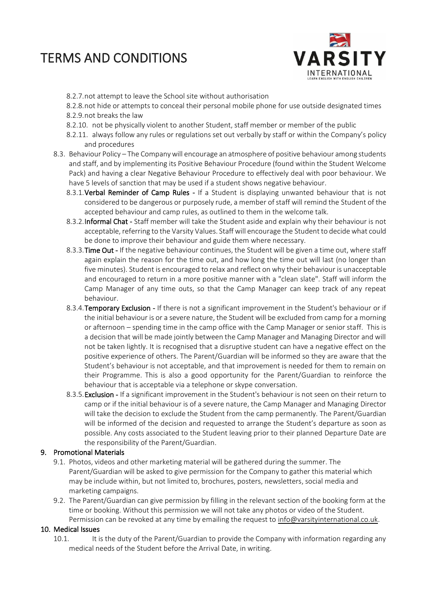

- 8.2.7.not attempt to leave the School site without authorisation
- 8.2.8.not hide or attempts to conceal their personal mobile phone for use outside designated times 8.2.9.not breaks the law
- 8.2.10. not be physically violent to another Student, staff member or member of the public
- 8.2.11. always follow any rules or regulations set out verbally by staff or within the Company's policy and procedures
- 8.3. Behaviour Policy The Company will encourage an atmosphere of positive behaviour among students and staff, and by implementing its Positive Behaviour Procedure (found within the Student Welcome Pack) and having a clear Negative Behaviour Procedure to effectively deal with poor behaviour. We have 5 levels of sanction that may be used if a student shows negative behaviour.
	- 8.3.1. Verbal Reminder of Camp Rules If a Student is displaying unwanted behaviour that is not considered to be dangerous or purposely rude, a member of staff will remind the Student of the accepted behaviour and camp rules, as outlined to them in the welcome talk.
	- 8.3.2.Informal Chat Staff member will take the Student aside and explain why their behaviour is not acceptable, referring to the Varsity Values. Staff will encourage the Student to decide what could be done to improve their behaviour and guide them where necessary.
	- 8.3.3. Time Out If the negative behaviour continues, the Student will be given a time out, where staff again explain the reason for the time out, and how long the time out will last (no longer than five minutes). Student is encouraged to relax and reflect on why their behaviour is unacceptable and encouraged to return in a more positive manner with a "clean slate". Staff will inform the Camp Manager of any time outs, so that the Camp Manager can keep track of any repeat behaviour.
	- 8.3.4. Temporary Exclusion If there is not a significant improvement in the Student's behaviour or if the initial behaviour is or a severe nature, the Student will be excluded from camp for a morning or afternoon – spending time in the camp office with the Camp Manager or senior staff. This is a decision that will be made jointly between the Camp Manager and Managing Director and will not be taken lightly. It is recognised that a disruptive student can have a negative effect on the positive experience of others. The Parent/Guardian will be informed so they are aware that the Student's behaviour is not acceptable, and that improvement is needed for them to remain on their Programme. This is also a good opportunity for the Parent/Guardian to reinforce the behaviour that is acceptable via a telephone or skype conversation.
	- 8.3.5. Exclusion If a significant improvement in the Student's behaviour is not seen on their return to camp or if the initial behaviour is of a severe nature, the Camp Manager and Managing Director will take the decision to exclude the Student from the camp permanently. The Parent/Guardian will be informed of the decision and requested to arrange the Student's departure as soon as possible. Any costs associated to the Student leaving prior to their planned Departure Date are the responsibility of the Parent/Guardian.

#### 9. Promotional Materials

- 9.1. Photos, videos and other marketing material will be gathered during the summer. The Parent/Guardian will be asked to give permission for the Company to gather this material which may be include within, but not limited to, brochures, posters, newsletters, social media and marketing campaigns.
- 9.2. The Parent/Guardian can give permission by filling in the relevant section of the booking form at the time or booking. Without this permission we will not take any photos or video of the Student. Permission can be revoked at any time by emailing the request to [info@varsityinternational.co.uk.](mailto:info@varsityinternational.co.uk)

#### 10. Medical Issues

10.1. It is the duty of the Parent/Guardian to provide the Company with information regarding any medical needs of the Student before the Arrival Date, in writing.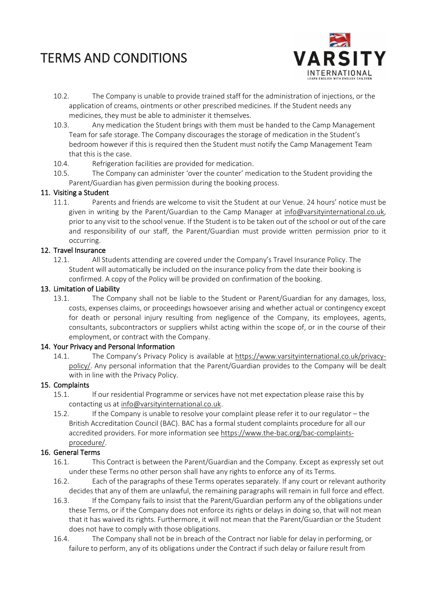

- 10.2. The Company is unable to provide trained staff for the administration of injections, or the application of creams, ointments or other prescribed medicines. If the Student needs any medicines, they must be able to administer it themselves.
- 10.3. Any medication the Student brings with them must be handed to the Camp Management Team for safe storage. The Company discourages the storage of medication in the Student's bedroom however if this is required then the Student must notify the Camp Management Team that this is the case.
- 10.4. Refrigeration facilities are provided for medication.
- 10.5. The Company can administer 'over the counter' medication to the Student providing the Parent/Guardian has given permission during the booking process.

#### 11. Visiting a Student

11.1. Parents and friends are welcome to visit the Student at our Venue. 24 hours' notice must be given in writing by the Parent/Guardian to the Camp Manager at [info@varsityinternational.co.uk,](mailto:info@varsityinternational.co.uk) prior to any visit to the school venue. If the Student is to be taken out of the school or out of the care and responsibility of our staff, the Parent/Guardian must provide written permission prior to it occurring.

#### 12. Travel Insurance

12.1. All Students attending are covered under the Company's Travel Insurance Policy. The Student will automatically be included on the insurance policy from the date their booking is confirmed. A copy of the Policy will be provided on confirmation of the booking.

#### 13. Limitation of Liability

13.1. The Company shall not be liable to the Student or Parent/Guardian for any damages, loss, costs, expenses claims, or proceedings howsoever arising and whether actual or contingency except for death or personal injury resulting from negligence of the Company, its employees, agents, consultants, subcontractors or suppliers whilst acting within the scope of, or in the course of their employment, or contract with the Company.

#### 14. Your Privacy and Personal Information

14.1. The Company's Privacy Policy is available at [https://www.varsityinternational.co.uk/privacy](https://www.varsityinternational.co.uk/privacy-policy/)[policy/.](https://www.varsityinternational.co.uk/privacy-policy/) Any personal information that the Parent/Guardian provides to the Company will be dealt with in line with the Privacy Policy.

#### 15. Complaints

- 15.1. If our residential Programme or services have not met expectation please raise this by contacting us at [info@varsityinternational.co.uk.](mailto:info@varsityinternational.co.uk)
- 15.2. If the Company is unable to resolve your complaint please refer it to our regulator the British Accreditation Council (BAC). BAC has a formal student complaints procedure for all our accredited providers. For more information see [https://www.the-bac.org/bac-complaints](https://www.the-bac.org/bac-complaints-procedure/)[procedure/.](https://www.the-bac.org/bac-complaints-procedure/)

#### 16. General Terms

- 16.1. This Contract is between the Parent/Guardian and the Company. Except as expressly set out under these Terms no other person shall have any rights to enforce any of its Terms.
- 16.2. Each of the paragraphs of these Terms operates separately. If any court or relevant authority decides that any of them are unlawful, the remaining paragraphs will remain in full force and effect.
- 16.3. If the Company fails to insist that the Parent/Guardian perform any of the obligations under these Terms, or if the Company does not enforce its rights or delays in doing so, that will not mean that it has waived its rights. Furthermore, it will not mean that the Parent/Guardian or the Student does not have to comply with those obligations.
- 16.4. The Company shall not be in breach of the Contract nor liable for delay in performing, or failure to perform, any of its obligations under the Contract if such delay or failure result from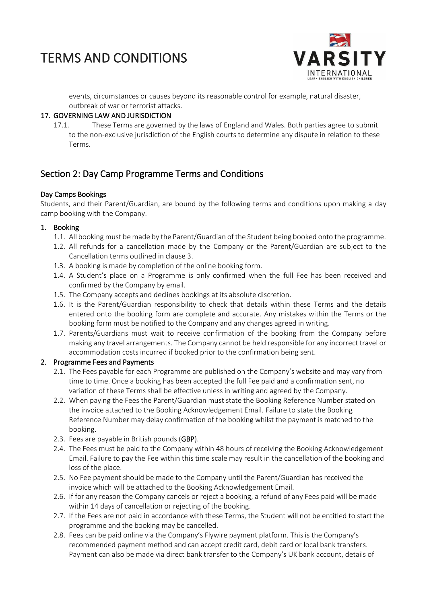

events, circumstances or causes beyond its reasonable control for example, natural disaster, outbreak of war or terrorist attacks.

### 17. GOVERNING LAW AND JURISDICTION

17.1. These Terms are governed by the laws of England and Wales. Both parties agree to submit to the non-exclusive jurisdiction of the English courts to determine any dispute in relation to these Terms.

## Section 2: Day Camp Programme Terms and Conditions

### Day Camps Bookings

Students, and their Parent/Guardian, are bound by the following terms and conditions upon making a day camp booking with the Company.

### 1. Booking

- 1.1. All booking must be made by the Parent/Guardian of the Student being booked onto the programme.
- 1.2. All refunds for a cancellation made by the Company or the Parent/Guardian are subject to the Cancellation terms outlined in clause 3.
- 1.3. A booking is made by completion of the online booking form.
- 1.4. A Student's place on a Programme is only confirmed when the full Fee has been received and confirmed by the Company by email.
- 1.5. The Company accepts and declines bookings at its absolute discretion.
- 1.6. It is the Parent/Guardian responsibility to check that details within these Terms and the details entered onto the booking form are complete and accurate. Any mistakes within the Terms or the booking form must be notified to the Company and any changes agreed in writing.
- 1.7. Parents/Guardians must wait to receive confirmation of the booking from the Company before making any travel arrangements. The Company cannot be held responsible for any incorrect travel or accommodation costs incurred if booked prior to the confirmation being sent.

#### 2. Programme Fees and Payments

- 2.1. The Fees payable for each Programme are published on the Company's website and may vary from time to time. Once a booking has been accepted the full Fee paid and a confirmation sent, no variation of these Terms shall be effective unless in writing and agreed by the Company.
- 2.2. When paying the Fees the Parent/Guardian must state the Booking Reference Number stated on the invoice attached to the Booking Acknowledgement Email. Failure to state the Booking Reference Number may delay confirmation of the booking whilst the payment is matched to the booking.
- 2.3. Fees are payable in British pounds (GBP).
- 2.4. The Fees must be paid to the Company within 48 hours of receiving the Booking Acknowledgement Email. Failure to pay the Fee within this time scale may result in the cancellation of the booking and loss of the place.
- 2.5. No Fee payment should be made to the Company until the Parent/Guardian has received the invoice which will be attached to the Booking Acknowledgement Email.
- 2.6. If for any reason the Company cancels or reject a booking, a refund of any Fees paid will be made within 14 days of cancellation or rejecting of the booking.
- 2.7. If the Fees are not paid in accordance with these Terms, the Student will not be entitled to start the programme and the booking may be cancelled.
- 2.8. Fees can be paid online via the Company's Flywire payment platform. This is the Company's recommended payment method and can accept credit card, debit card or local bank transfers. Payment can also be made via direct bank transfer to the Company's UK bank account, details of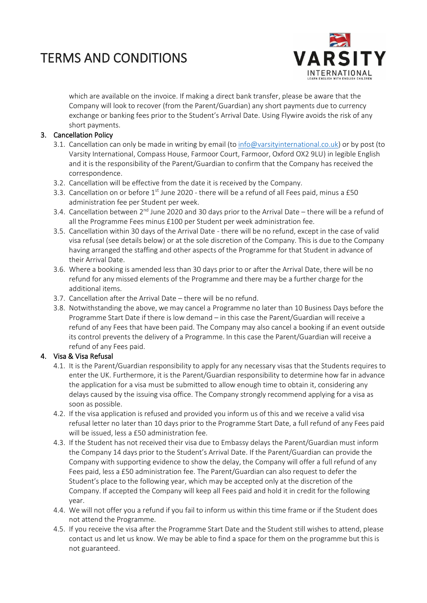

which are available on the invoice. If making a direct bank transfer, please be aware that the Company will look to recover (from the Parent/Guardian) any short payments due to currency exchange or banking fees prior to the Student's Arrival Date. Using Flywire avoids the risk of any short payments.

## 3. Cancellation Policy

- 3.1. Cancellation can only be made in writing by email (to [info@varsityinternational.co.uk\)](mailto:info@varsityinternational.co.uk) or by post (to Varsity International, Compass House, Farmoor Court, Farmoor, Oxford OX2 9LU) in legible English and it is the responsibility of the Parent/Guardian to confirm that the Company has received the correspondence.
- 3.2. Cancellation will be effective from the date it is received by the Company.
- 3.3. Cancellation on or before  $1<sup>st</sup>$  June 2020 there will be a refund of all Fees paid, minus a £50 administration fee per Student per week.
- 3.4. Cancellation between  $2^{nd}$  June 2020 and 30 days prior to the Arrival Date there will be a refund of all the Programme Fees minus £100 per Student per week administration fee.
- 3.5. Cancellation within 30 days of the Arrival Date there will be no refund, except in the case of valid visa refusal (see details below) or at the sole discretion of the Company. This is due to the Company having arranged the staffing and other aspects of the Programme for that Student in advance of their Arrival Date.
- 3.6. Where a booking is amended less than 30 days prior to or after the Arrival Date, there will be no refund for any missed elements of the Programme and there may be a further charge for the additional items.
- 3.7. Cancellation after the Arrival Date there will be no refund.
- 3.8. Notwithstanding the above, we may cancel a Programme no later than 10 Business Days before the Programme Start Date if there is low demand – in this case the Parent/Guardian will receive a refund of any Fees that have been paid. The Company may also cancel a booking if an event outside its control prevents the delivery of a Programme. In this case the Parent/Guardian will receive a refund of any Fees paid.

## 4. Visa & Visa Refusal

- 4.1. It is the Parent/Guardian responsibility to apply for any necessary visas that the Students requires to enter the UK. Furthermore, it is the Parent/Guardian responsibility to determine how far in advance the application for a visa must be submitted to allow enough time to obtain it, considering any delays caused by the issuing visa office. The Company strongly recommend applying for a visa as soon as possible.
- 4.2. If the visa application is refused and provided you inform us of this and we receive a valid visa refusal letter no later than 10 days prior to the Programme Start Date, a full refund of any Fees paid will be issued, less a £50 administration fee.
- 4.3. If the Student has not received their visa due to Embassy delays the Parent/Guardian must inform the Company 14 days prior to the Student's Arrival Date. If the Parent/Guardian can provide the Company with supporting evidence to show the delay, the Company will offer a full refund of any Fees paid, less a £50 administration fee. The Parent/Guardian can also request to defer the Student's place to the following year, which may be accepted only at the discretion of the Company. If accepted the Company will keep all Fees paid and hold it in credit for the following year.
- 4.4. We will not offer you a refund if you fail to inform us within this time frame or if the Student does not attend the Programme.
- 4.5. If you receive the visa after the Programme Start Date and the Student still wishes to attend, please contact us and let us know. We may be able to find a space for them on the programme but this is not guaranteed.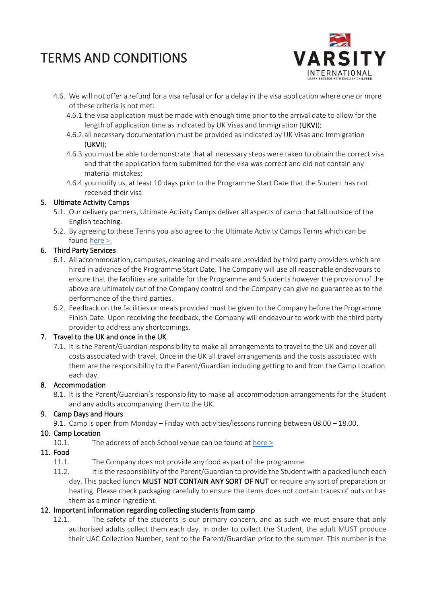

- 4.6. We will not offer a refund for a visa refusal or for a delay in the visa application where one or more of these criteria is not met:
	- 4.6.1.the visa application must be made with enough time prior to the arrival date to allow for the length of application time as indicated by UK Visas and Immigration (UKVI);
	- 4.6.2.all necessary documentation must be provided as indicated by UK Visas and Immigration (UKVI);
	- 4.6.3.you must be able to demonstrate that all necessary steps were taken to obtain the correct visa and that the application form submitted for the visa was correct and did not contain any material mistakes;
	- 4.6.4.you notify us, at least 10 days prior to the Programme Start Date that the Student has not received their visa.

#### 5. Ultimate Activity Camps

- 5.1. Our delivery partners, Ultimate Activity Camps deliver all aspects of camp that fall outside of the English teaching.
- 5.2. By agreeing to these Terms you also agree to the Ultimate Activity Camps Terms which can be found [here >.](https://www.ultimateactivity.co.uk/terms-and-conditions)

### 6. Third Party Services

- 6.1. All accommodation, campuses, cleaning and meals are provided by third party providers which are hired in advance of the Programme Start Date. The Company will use all reasonable endeavours to ensure that the facilities are suitable for the Programme and Students however the provision of the above are ultimately out of the Company control and the Company can give no guarantee as to the performance of the third parties.
- 6.2. Feedback on the facilities or meals provided must be given to the Company before the Programme Finish Date. Upon receiving the feedback, the Company will endeavour to work with the third party provider to address any shortcomings.

#### 7. Travel to the UK and once in the UK

7.1. It is the Parent/Guardian responsibility to make all arrangements to travel to the UK and cover all costs associated with travel. Once in the UK all travel arrangements and the costs associated with them are the responsibility to the Parent/Guardian including getting to and from the Camp Location each day.

#### 8. Accommodation

8.1. It is the Parent/Guardian's responsibility to make all accommodation arrangements for the Student and any adults accompanying them to the UK.

## 9. Camp Days and Hours

9.1. Camp is open from Monday – Friday with activities/lessons running between 08.00 – 18.00.

## 10. Camp Location

10.1. The address of each School venue can be found at [here >](https://www.varsityinternational.co.uk/locations/non-residential/) 

## 11. Food

- 11.1. The Company does not provide any food as part of the programme.
- 11.2. It is the responsibility of the Parent/Guardian to provide the Student with a packed lunch each day. This packed lunch MUST NOT CONTAIN ANY SORT OF NUT or require any sort of preparation or heating. Please check packaging carefully to ensure the items does not contain traces of nuts or has them as a minor ingredient.

#### 12. Important information regarding collecting students from camp

12.1. The safety of the students is our primary concern, and as such we must ensure that only authorised adults collect them each day. In order to collect the Student, the adult MUST produce their UAC Collection Number, sent to the Parent/Guardian prior to the summer. This number is the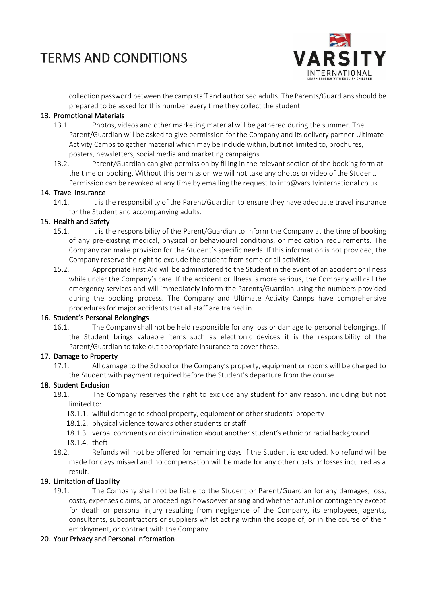

collection password between the camp staff and authorised adults. The Parents/Guardians should be prepared to be asked for this number every time they collect the student.

#### 13. Promotional Materials

- 13.1. Photos, videos and other marketing material will be gathered during the summer. The Parent/Guardian will be asked to give permission for the Company and its delivery partner Ultimate Activity Camps to gather material which may be include within, but not limited to, brochures, posters, newsletters, social media and marketing campaigns.
- 13.2. Parent/Guardian can give permission by filling in the relevant section of the booking form at the time or booking. Without this permission we will not take any photos or video of the Student. Permission can be revoked at any time by emailing the request to [info@varsityinternational.co.uk.](mailto:info@varsityinternational.co.uk)

### 14. Travel Insurance

14.1. It is the responsibility of the Parent/Guardian to ensure they have adequate travel insurance for the Student and accompanying adults.

#### 15. Health and Safety

- 15.1. It is the responsibility of the Parent/Guardian to inform the Company at the time of booking of any pre-existing medical, physical or behavioural conditions, or medication requirements. The Company can make provision for the Student's specific needs. If this information is not provided, the Company reserve the right to exclude the student from some or all activities.
- 15.2. Appropriate First Aid will be administered to the Student in the event of an accident or illness while under the Company's care. If the accident or illness is more serious, the Company will call the emergency services and will immediately inform the Parents/Guardian using the numbers provided during the booking process. The Company and Ultimate Activity Camps have comprehensive procedures for major accidents that all staff are trained in.

#### 16. Student's Personal Belongings

16.1. The Company shall not be held responsible for any loss or damage to personal belongings. If the Student brings valuable items such as electronic devices it is the responsibility of the Parent/Guardian to take out appropriate insurance to cover these.

## 17. Damage to Property

17.1. All damage to the School or the Company's property, equipment or rooms will be charged to the Student with payment required before the Student's departure from the course.

## 18. Student Exclusion

- 18.1. The Company reserves the right to exclude any student for any reason, including but not limited to:
	- 18.1.1. wilful damage to school property, equipment or other students' property
	- 18.1.2. physical violence towards other students or staff
	- 18.1.3. verbal comments or discrimination about another student's ethnic or racial background 18.1.4. theft
- 18.2. Refunds will not be offered for remaining days if the Student is excluded. No refund will be made for days missed and no compensation will be made for any other costs or losses incurred as a result.

## 19. Limitation of Liability

19.1. The Company shall not be liable to the Student or Parent/Guardian for any damages, loss, costs, expenses claims, or proceedings howsoever arising and whether actual or contingency except for death or personal injury resulting from negligence of the Company, its employees, agents, consultants, subcontractors or suppliers whilst acting within the scope of, or in the course of their employment, or contract with the Company.

#### 20. Your Privacy and Personal Information